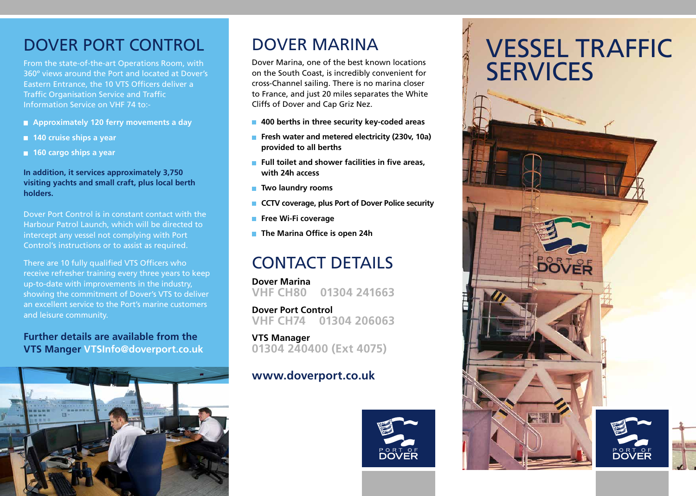## DOVER PORT CONTROL

From the state-of-the-art Operations Room, with 360º views around the Port and located at Dover's Eastern Entrance, the 10 VTS Officers deliver a Traffic Organisation Service and Traffic Information Service on VHF 74 to:-

- **Approximately 120 ferry movements a day**
- 140 cruise ships a year
- 160 cargo ships a year

#### **In addition, it services approximately 3,750 visiting yachts and small craft, plus local berth holders.**

Dover Port Control is in constant contact with the Harbour Patrol Launch, which will be directed to intercept any vessel not complying with Port Control's instructions or to assist as required.

There are 10 fully qualified VTS Officers who receive refresher training every three years to keep up-to-date with improvements in the industry, showing the commitment of Dover's VTS to deliver an excellent service to the Port's marine customers and leisure community.

#### **Further details are available from the VTS Manger VTSInfo@doverport.co.uk**



## Dover Marina

Dover Marina, one of the best known locations on the South Coast, is incredibly convenient for cross-Channel sailing. There is no marina closer to France, and just 20 miles separates the White Cliffs of Dover and Cap Griz Nez.

- **400 berths in three security key-coded areas**
- **Fresh water and metered electricity (230v, 10a) provided to all berths**
- **Full toilet and shower facilities in five areas. with 24h access**
- **Two laundry rooms**
- **CCTV** coverage, plus Port of Dover Police security
- **Free Wi-Fi coverage**
- **The Marina Office is open 24h**

## CONTACT DETAILS

**Dover Marina VHF CH80 01304 241663**

**Dover Port Control VHF CH74 01304 206063**

**VTS Manager 01304 240400 (Ext 4075)**

#### **www.doverport.co.uk**



Marina Marina

# **VESSEL TRAFFIC SERVICES**